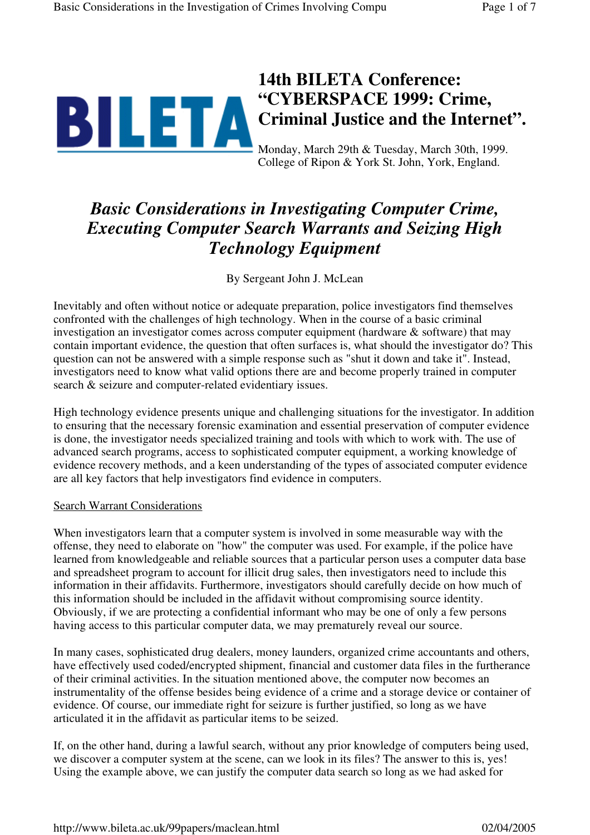# **14th BILETA Conference: "CYBERSPACE 1999: Crime, Criminal Justice and the Internet".**

Monday, March 29th & Tuesday, March 30th, 1999. College of Ripon & York St. John, York, England.

# *Basic Considerations in Investigating Computer Crime, Executing Computer Search Warrants and Seizing High Technology Equipment*

By Sergeant John J. McLean

Inevitably and often without notice or adequate preparation, police investigators find themselves confronted with the challenges of high technology. When in the course of a basic criminal investigation an investigator comes across computer equipment (hardware & software) that may contain important evidence, the question that often surfaces is, what should the investigator do? This question can not be answered with a simple response such as "shut it down and take it". Instead, investigators need to know what valid options there are and become properly trained in computer search & seizure and computer-related evidentiary issues.

High technology evidence presents unique and challenging situations for the investigator. In addition to ensuring that the necessary forensic examination and essential preservation of computer evidence is done, the investigator needs specialized training and tools with which to work with. The use of advanced search programs, access to sophisticated computer equipment, a working knowledge of evidence recovery methods, and a keen understanding of the types of associated computer evidence are all key factors that help investigators find evidence in computers.

#### Search Warrant Considerations

When investigators learn that a computer system is involved in some measurable way with the offense, they need to elaborate on "how" the computer was used. For example, if the police have learned from knowledgeable and reliable sources that a particular person uses a computer data base and spreadsheet program to account for illicit drug sales, then investigators need to include this information in their affidavits. Furthermore, investigators should carefully decide on how much of this information should be included in the affidavit without compromising source identity. Obviously, if we are protecting a confidential informant who may be one of only a few persons having access to this particular computer data, we may prematurely reveal our source.

In many cases, sophisticated drug dealers, money launders, organized crime accountants and others, have effectively used coded/encrypted shipment, financial and customer data files in the furtherance of their criminal activities. In the situation mentioned above, the computer now becomes an instrumentality of the offense besides being evidence of a crime and a storage device or container of evidence. Of course, our immediate right for seizure is further justified, so long as we have articulated it in the affidavit as particular items to be seized.

If, on the other hand, during a lawful search, without any prior knowledge of computers being used, we discover a computer system at the scene, can we look in its files? The answer to this is, yes! Using the example above, we can justify the computer data search so long as we had asked for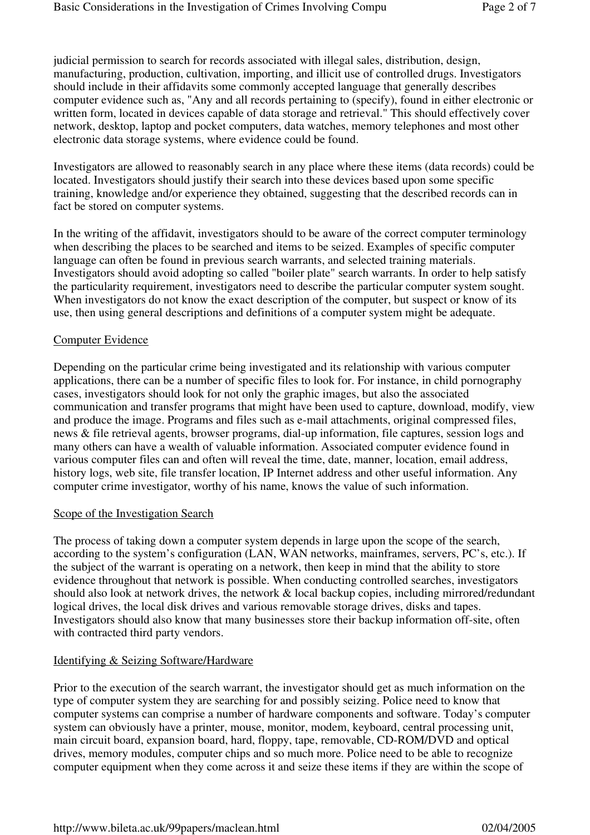judicial permission to search for records associated with illegal sales, distribution, design, manufacturing, production, cultivation, importing, and illicit use of controlled drugs. Investigators should include in their affidavits some commonly accepted language that generally describes computer evidence such as, "Any and all records pertaining to (specify), found in either electronic or written form, located in devices capable of data storage and retrieval." This should effectively cover network, desktop, laptop and pocket computers, data watches, memory telephones and most other electronic data storage systems, where evidence could be found.

Investigators are allowed to reasonably search in any place where these items (data records) could be located. Investigators should justify their search into these devices based upon some specific training, knowledge and/or experience they obtained, suggesting that the described records can in fact be stored on computer systems.

In the writing of the affidavit, investigators should to be aware of the correct computer terminology when describing the places to be searched and items to be seized. Examples of specific computer language can often be found in previous search warrants, and selected training materials. Investigators should avoid adopting so called "boiler plate" search warrants. In order to help satisfy the particularity requirement, investigators need to describe the particular computer system sought. When investigators do not know the exact description of the computer, but suspect or know of its use, then using general descriptions and definitions of a computer system might be adequate.

#### Computer Evidence

Depending on the particular crime being investigated and its relationship with various computer applications, there can be a number of specific files to look for. For instance, in child pornography cases, investigators should look for not only the graphic images, but also the associated communication and transfer programs that might have been used to capture, download, modify, view and produce the image. Programs and files such as e-mail attachments, original compressed files, news & file retrieval agents, browser programs, dial-up information, file captures, session logs and many others can have a wealth of valuable information. Associated computer evidence found in various computer files can and often will reveal the time, date, manner, location, email address, history logs, web site, file transfer location, IP Internet address and other useful information. Any computer crime investigator, worthy of his name, knows the value of such information.

#### Scope of the Investigation Search

The process of taking down a computer system depends in large upon the scope of the search, according to the system's configuration (LAN, WAN networks, mainframes, servers, PC's, etc.). If the subject of the warrant is operating on a network, then keep in mind that the ability to store evidence throughout that network is possible. When conducting controlled searches, investigators should also look at network drives, the network & local backup copies, including mirrored/redundant logical drives, the local disk drives and various removable storage drives, disks and tapes. Investigators should also know that many businesses store their backup information off-site, often with contracted third party vendors.

#### Identifying & Seizing Software/Hardware

Prior to the execution of the search warrant, the investigator should get as much information on the type of computer system they are searching for and possibly seizing. Police need to know that computer systems can comprise a number of hardware components and software. Today's computer system can obviously have a printer, mouse, monitor, modem, keyboard, central processing unit, main circuit board, expansion board, hard, floppy, tape, removable, CD-ROM/DVD and optical drives, memory modules, computer chips and so much more. Police need to be able to recognize computer equipment when they come across it and seize these items if they are within the scope of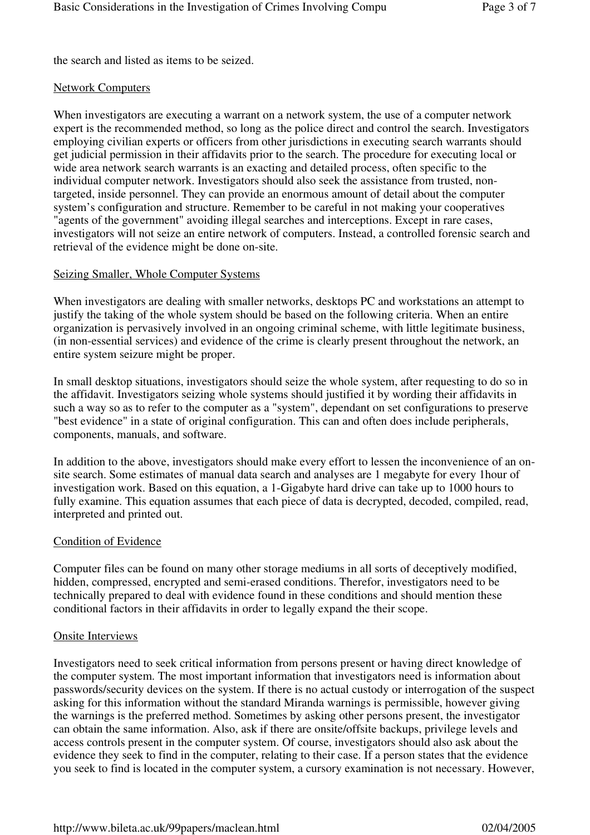the search and listed as items to be seized.

#### Network Computers

When investigators are executing a warrant on a network system, the use of a computer network expert is the recommended method, so long as the police direct and control the search. Investigators employing civilian experts or officers from other jurisdictions in executing search warrants should get judicial permission in their affidavits prior to the search. The procedure for executing local or wide area network search warrants is an exacting and detailed process, often specific to the individual computer network. Investigators should also seek the assistance from trusted, nontargeted, inside personnel. They can provide an enormous amount of detail about the computer system's configuration and structure. Remember to be careful in not making your cooperatives "agents of the government" avoiding illegal searches and interceptions. Except in rare cases, investigators will not seize an entire network of computers. Instead, a controlled forensic search and retrieval of the evidence might be done on-site.

#### Seizing Smaller, Whole Computer Systems

When investigators are dealing with smaller networks, desktops PC and workstations an attempt to justify the taking of the whole system should be based on the following criteria. When an entire organization is pervasively involved in an ongoing criminal scheme, with little legitimate business, (in non-essential services) and evidence of the crime is clearly present throughout the network, an entire system seizure might be proper.

In small desktop situations, investigators should seize the whole system, after requesting to do so in the affidavit. Investigators seizing whole systems should justified it by wording their affidavits in such a way so as to refer to the computer as a "system", dependant on set configurations to preserve "best evidence" in a state of original configuration. This can and often does include peripherals, components, manuals, and software.

In addition to the above, investigators should make every effort to lessen the inconvenience of an onsite search. Some estimates of manual data search and analyses are 1 megabyte for every 1hour of investigation work. Based on this equation, a 1-Gigabyte hard drive can take up to 1000 hours to fully examine. This equation assumes that each piece of data is decrypted, decoded, compiled, read, interpreted and printed out.

# Condition of Evidence

Computer files can be found on many other storage mediums in all sorts of deceptively modified, hidden, compressed, encrypted and semi-erased conditions. Therefor, investigators need to be technically prepared to deal with evidence found in these conditions and should mention these conditional factors in their affidavits in order to legally expand the their scope.

#### Onsite Interviews

Investigators need to seek critical information from persons present or having direct knowledge of the computer system. The most important information that investigators need is information about passwords/security devices on the system. If there is no actual custody or interrogation of the suspect asking for this information without the standard Miranda warnings is permissible, however giving the warnings is the preferred method. Sometimes by asking other persons present, the investigator can obtain the same information. Also, ask if there are onsite/offsite backups, privilege levels and access controls present in the computer system. Of course, investigators should also ask about the evidence they seek to find in the computer, relating to their case. If a person states that the evidence you seek to find is located in the computer system, a cursory examination is not necessary. However,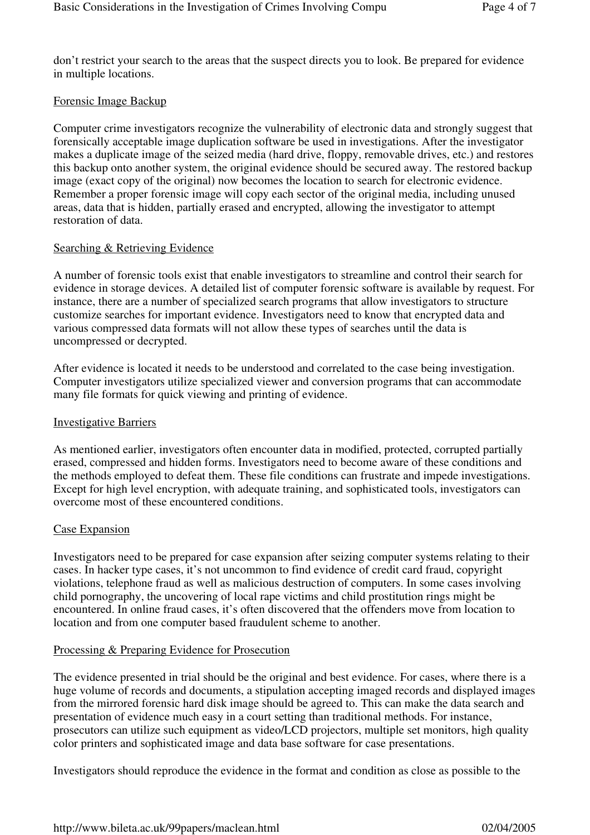don't restrict your search to the areas that the suspect directs you to look. Be prepared for evidence in multiple locations.

## Forensic Image Backup

Computer crime investigators recognize the vulnerability of electronic data and strongly suggest that forensically acceptable image duplication software be used in investigations. After the investigator makes a duplicate image of the seized media (hard drive, floppy, removable drives, etc.) and restores this backup onto another system, the original evidence should be secured away. The restored backup image (exact copy of the original) now becomes the location to search for electronic evidence. Remember a proper forensic image will copy each sector of the original media, including unused areas, data that is hidden, partially erased and encrypted, allowing the investigator to attempt restoration of data.

### Searching & Retrieving Evidence

A number of forensic tools exist that enable investigators to streamline and control their search for evidence in storage devices. A detailed list of computer forensic software is available by request. For instance, there are a number of specialized search programs that allow investigators to structure customize searches for important evidence. Investigators need to know that encrypted data and various compressed data formats will not allow these types of searches until the data is uncompressed or decrypted.

After evidence is located it needs to be understood and correlated to the case being investigation. Computer investigators utilize specialized viewer and conversion programs that can accommodate many file formats for quick viewing and printing of evidence.

#### Investigative Barriers

As mentioned earlier, investigators often encounter data in modified, protected, corrupted partially erased, compressed and hidden forms. Investigators need to become aware of these conditions and the methods employed to defeat them. These file conditions can frustrate and impede investigations. Except for high level encryption, with adequate training, and sophisticated tools, investigators can overcome most of these encountered conditions.

#### Case Expansion

Investigators need to be prepared for case expansion after seizing computer systems relating to their cases. In hacker type cases, it's not uncommon to find evidence of credit card fraud, copyright violations, telephone fraud as well as malicious destruction of computers. In some cases involving child pornography, the uncovering of local rape victims and child prostitution rings might be encountered. In online fraud cases, it's often discovered that the offenders move from location to location and from one computer based fraudulent scheme to another.

# Processing & Preparing Evidence for Prosecution

The evidence presented in trial should be the original and best evidence. For cases, where there is a huge volume of records and documents, a stipulation accepting imaged records and displayed images from the mirrored forensic hard disk image should be agreed to. This can make the data search and presentation of evidence much easy in a court setting than traditional methods. For instance, prosecutors can utilize such equipment as video/LCD projectors, multiple set monitors, high quality color printers and sophisticated image and data base software for case presentations.

Investigators should reproduce the evidence in the format and condition as close as possible to the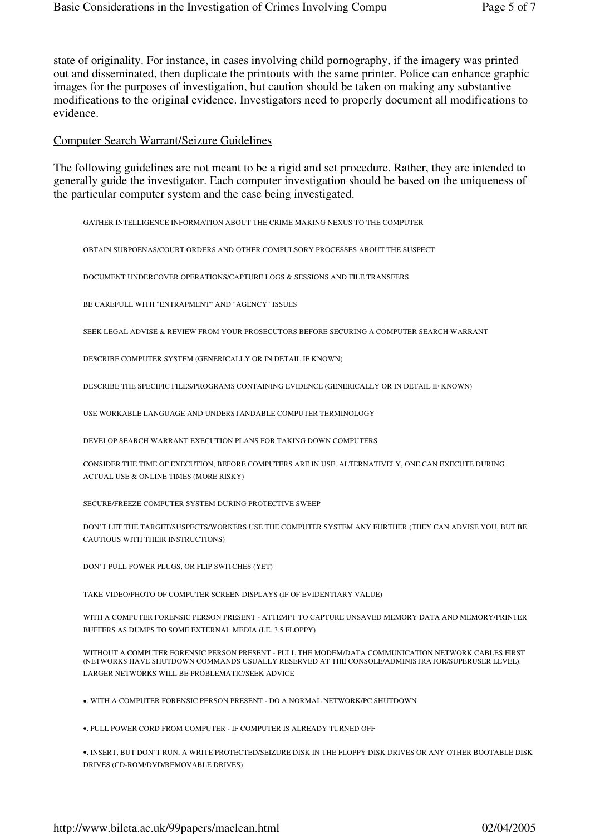state of originality. For instance, in cases involving child pornography, if the imagery was printed out and disseminated, then duplicate the printouts with the same printer. Police can enhance graphic images for the purposes of investigation, but caution should be taken on making any substantive modifications to the original evidence. Investigators need to properly document all modifications to evidence.

#### Computer Search Warrant/Seizure Guidelines

The following guidelines are not meant to be a rigid and set procedure. Rather, they are intended to generally guide the investigator. Each computer investigation should be based on the uniqueness of the particular computer system and the case being investigated.

GATHER INTELLIGENCE INFORMATION ABOUT THE CRIME MAKING NEXUS TO THE COMPUTER

OBTAIN SUBPOENAS/COURT ORDERS AND OTHER COMPULSORY PROCESSES ABOUT THE SUSPECT

DOCUMENT UNDERCOVER OPERATIONS/CAPTURE LOGS & SESSIONS AND FILE TRANSFERS

BE CAREFULL WITH "ENTRAPMENT" AND "AGENCY" ISSUES

SEEK LEGAL ADVISE & REVIEW FROM YOUR PROSECUTORS BEFORE SECURING A COMPUTER SEARCH WARRANT

DESCRIBE COMPUTER SYSTEM (GENERICALLY OR IN DETAIL IF KNOWN)

DESCRIBE THE SPECIFIC FILES/PROGRAMS CONTAINING EVIDENCE (GENERICALLY OR IN DETAIL IF KNOWN)

USE WORKABLE LANGUAGE AND UNDERSTANDABLE COMPUTER TERMINOLOGY

DEVELOP SEARCH WARRANT EXECUTION PLANS FOR TAKING DOWN COMPUTERS

CONSIDER THE TIME OF EXECUTION, BEFORE COMPUTERS ARE IN USE. ALTERNATIVELY, ONE CAN EXECUTE DURING ACTUAL USE & ONLINE TIMES (MORE RISKY)

SECURE/FREEZE COMPUTER SYSTEM DURING PROTECTIVE SWEEP

DON'T LET THE TARGET/SUSPECTS/WORKERS USE THE COMPUTER SYSTEM ANY FURTHER (THEY CAN ADVISE YOU, BUT BE CAUTIOUS WITH THEIR INSTRUCTIONS)

DON'T PULL POWER PLUGS, OR FLIP SWITCHES (YET)

TAKE VIDEO/PHOTO OF COMPUTER SCREEN DISPLAYS (IF OF EVIDENTIARY VALUE)

WITH A COMPUTER FORENSIC PERSON PRESENT - ATTEMPT TO CAPTURE UNSAVED MEMORY DATA AND MEMORY/PRINTER BUFFERS AS DUMPS TO SOME EXTERNAL MEDIA (I.E. 3.5 FLOPPY)

WITHOUT A COMPUTER FORENSIC PERSON PRESENT - PULL THE MODEM/DATA COMMUNICATION NETWORK CABLES FIRST (NETWORKS HAVE SHUTDOWN COMMANDS USUALLY RESERVED AT THE CONSOLE/ADMINISTRATOR/SUPERUSER LEVEL). LARGER NETWORKS WILL BE PROBLEMATIC/SEEK ADVICE

•. WITH A COMPUTER FORENSIC PERSON PRESENT - DO A NORMAL NETWORK/PC SHUTDOWN

•. PULL POWER CORD FROM COMPUTER - IF COMPUTER IS ALREADY TURNED OFF

•. INSERT, BUT DON'T RUN, A WRITE PROTECTED/SEIZURE DISK IN THE FLOPPY DISK DRIVES OR ANY OTHER BOOTABLE DISK DRIVES (CD-ROM/DVD/REMOVABLE DRIVES)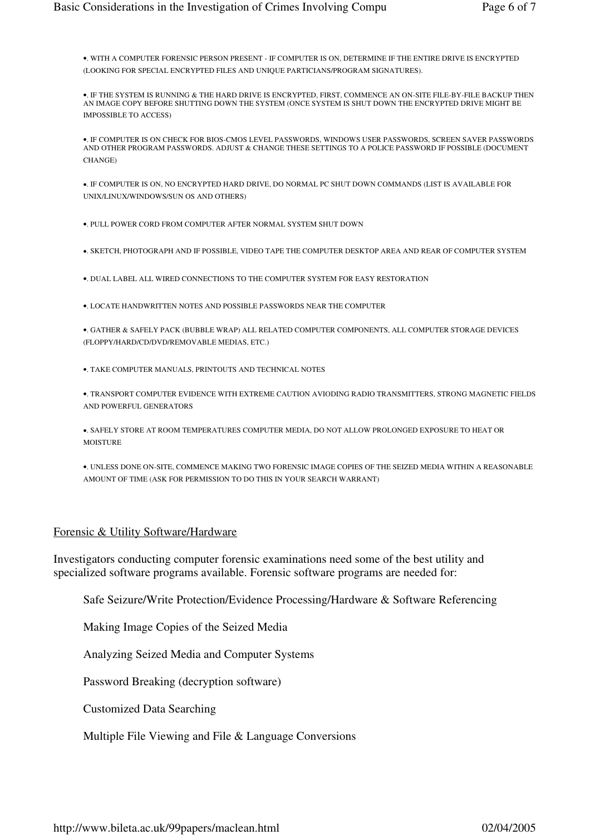•. WITH A COMPUTER FORENSIC PERSON PRESENT - IF COMPUTER IS ON, DETERMINE IF THE ENTIRE DRIVE IS ENCRYPTED (LOOKING FOR SPECIAL ENCRYPTED FILES AND UNIQUE PARTICIANS/PROGRAM SIGNATURES).

•. IF THE SYSTEM IS RUNNING & THE HARD DRIVE IS ENCRYPTED, FIRST, COMMENCE AN ON-SITE FILE-BY-FILE BACKUP THEN AN IMAGE COPY BEFORE SHUTTING DOWN THE SYSTEM (ONCE SYSTEM IS SHUT DOWN THE ENCRYPTED DRIVE MIGHT BE IMPOSSIBLE TO ACCESS)

•. IF COMPUTER IS ON CHECK FOR BIOS-CMOS LEVEL PASSWORDS, WINDOWS USER PASSWORDS, SCREEN SAVER PASSWORDS AND OTHER PROGRAM PASSWORDS. ADJUST & CHANGE THESE SETTINGS TO A POLICE PASSWORD IF POSSIBLE (DOCUMENT CHANGE)

•. IF COMPUTER IS ON, NO ENCRYPTED HARD DRIVE, DO NORMAL PC SHUT DOWN COMMANDS (LIST IS AVAILABLE FOR UNIX/LINUX/WINDOWS/SUN OS AND OTHERS)

•. PULL POWER CORD FROM COMPUTER AFTER NORMAL SYSTEM SHUT DOWN

•. SKETCH, PHOTOGRAPH AND IF POSSIBLE, VIDEO TAPE THE COMPUTER DESKTOP AREA AND REAR OF COMPUTER SYSTEM

•. DUAL LABEL ALL WIRED CONNECTIONS TO THE COMPUTER SYSTEM FOR EASY RESTORATION

•. LOCATE HANDWRITTEN NOTES AND POSSIBLE PASSWORDS NEAR THE COMPUTER

•. GATHER & SAFELY PACK (BUBBLE WRAP) ALL RELATED COMPUTER COMPONENTS, ALL COMPUTER STORAGE DEVICES (FLOPPY/HARD/CD/DVD/REMOVABLE MEDIAS, ETC.)

•. TAKE COMPUTER MANUALS, PRINTOUTS AND TECHNICAL NOTES

•. TRANSPORT COMPUTER EVIDENCE WITH EXTREME CAUTION AVIODING RADIO TRANSMITTERS, STRONG MAGNETIC FIELDS AND POWERFUL GENERATORS

•. SAFELY STORE AT ROOM TEMPERATURES COMPUTER MEDIA, DO NOT ALLOW PROLONGED EXPOSURE TO HEAT OR MOISTURE

•. UNLESS DONE ON-SITE, COMMENCE MAKING TWO FORENSIC IMAGE COPIES OF THE SEIZED MEDIA WITHIN A REASONABLE AMOUNT OF TIME (ASK FOR PERMISSION TO DO THIS IN YOUR SEARCH WARRANT)

#### Forensic & Utility Software/Hardware

Investigators conducting computer forensic examinations need some of the best utility and specialized software programs available. Forensic software programs are needed for:

Safe Seizure/Write Protection/Evidence Processing/Hardware & Software Referencing

Making Image Copies of the Seized Media

Analyzing Seized Media and Computer Systems

Password Breaking (decryption software)

Customized Data Searching

Multiple File Viewing and File & Language Conversions